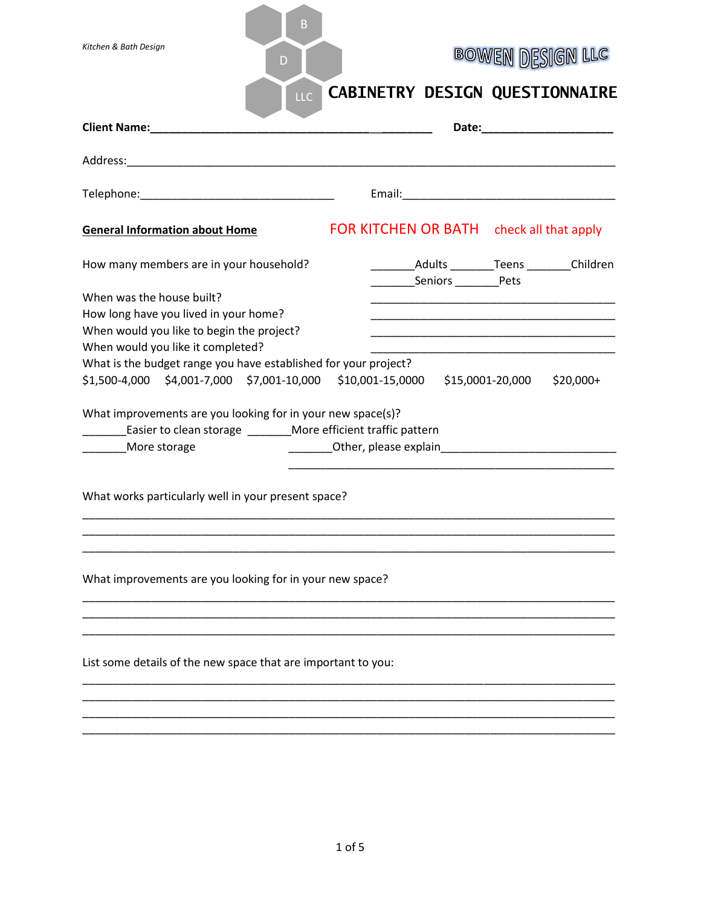| В<br>Kitchen & Bath Design<br>D<br>LLC                                                                                                                                                                                                                                                                                                                                                                                                                                                                                                                                                                                                                                                                                                                                                                                     | <b>BOWEN DESIGN LLC</b><br><b>CABINETRY DESIGN QUESTIONNAIRE</b> |  |  |  |
|----------------------------------------------------------------------------------------------------------------------------------------------------------------------------------------------------------------------------------------------------------------------------------------------------------------------------------------------------------------------------------------------------------------------------------------------------------------------------------------------------------------------------------------------------------------------------------------------------------------------------------------------------------------------------------------------------------------------------------------------------------------------------------------------------------------------------|------------------------------------------------------------------|--|--|--|
|                                                                                                                                                                                                                                                                                                                                                                                                                                                                                                                                                                                                                                                                                                                                                                                                                            |                                                                  |  |  |  |
|                                                                                                                                                                                                                                                                                                                                                                                                                                                                                                                                                                                                                                                                                                                                                                                                                            |                                                                  |  |  |  |
|                                                                                                                                                                                                                                                                                                                                                                                                                                                                                                                                                                                                                                                                                                                                                                                                                            |                                                                  |  |  |  |
| <b>General Information about Home</b>                                                                                                                                                                                                                                                                                                                                                                                                                                                                                                                                                                                                                                                                                                                                                                                      | FOR KITCHEN OR BATH check all that apply                         |  |  |  |
| How many members are in your household?                                                                                                                                                                                                                                                                                                                                                                                                                                                                                                                                                                                                                                                                                                                                                                                    | Adults Teens Children                                            |  |  |  |
| When was the house built?<br>How long have you lived in your home?<br>When would you like to begin the project?<br><u> 1989 - Johann John Stone, mars et al. (</u><br>When would you like it completed?<br>What is the budget range you have established for your project?<br>\$1,500-4,000 \$4,001-7,000 \$7,001-10,000 \$10,001-15,0000 \$15,0001-20,000<br>$$20,000+$<br>What improvements are you looking for in your new space(s)?<br>________Easier to clean storage _________More efficient traffic pattern<br>Other, please explain and the contract of the contract of the contract of the contract of the contract of the contract of the contract of the contract of the contract of the contract of the contract of the contract of the<br>More storage<br>What works particularly well in your present space? |                                                                  |  |  |  |
| What improvements are you looking for in your new space?<br>List some details of the new space that are important to you:                                                                                                                                                                                                                                                                                                                                                                                                                                                                                                                                                                                                                                                                                                  |                                                                  |  |  |  |
|                                                                                                                                                                                                                                                                                                                                                                                                                                                                                                                                                                                                                                                                                                                                                                                                                            |                                                                  |  |  |  |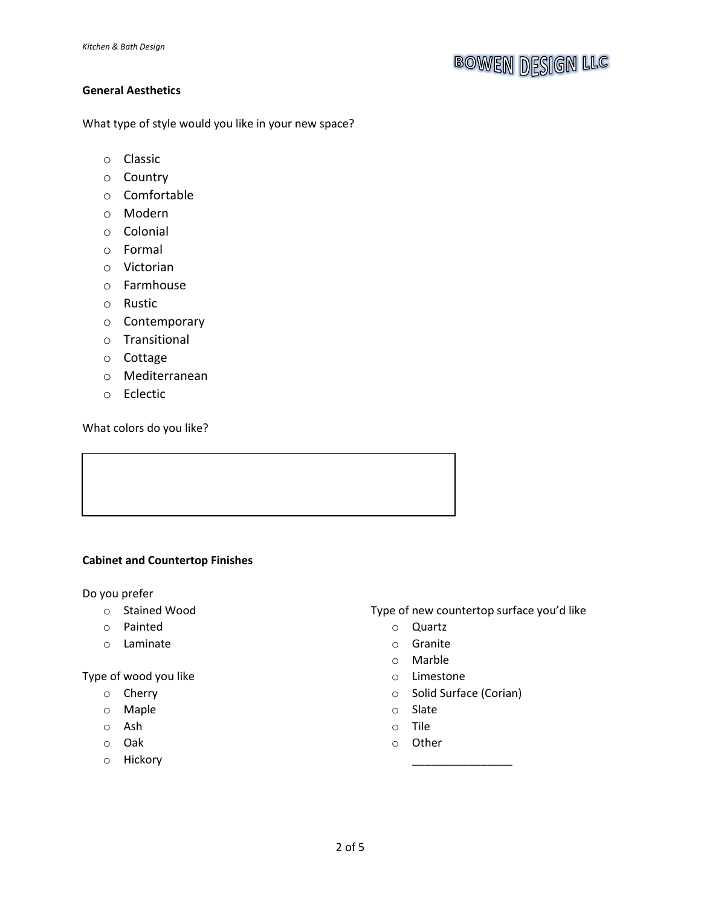### **General Aesthetics**

What type of style would you like in your new space?

- o Classic
- o Country
- o Comfortable
- o Modern
- o Colonial
- o Formal
- o Victorian
- o Farmhouse
- o Rustic
- o Contemporary
- o Transitional
- o Cottage
- o Mediterranean
- o Eclectic

What colors do you like?

#### **Cabinet and Countertop Finishes**

Do you prefer

- o Stained Wood
- o Painted
- o Laminate

Type of wood you like

- o Cherry
- o Maple
- o Ash
- o Oak
- o Hickory

Type of new countertop surface you'd like

- o Quartz
- o Granite
- o Marble
- o Limestone
- o Solid Surface (Corian)

\_\_\_\_\_\_\_\_\_\_\_\_\_\_\_\_

- o Slate
- o Tile
- o Other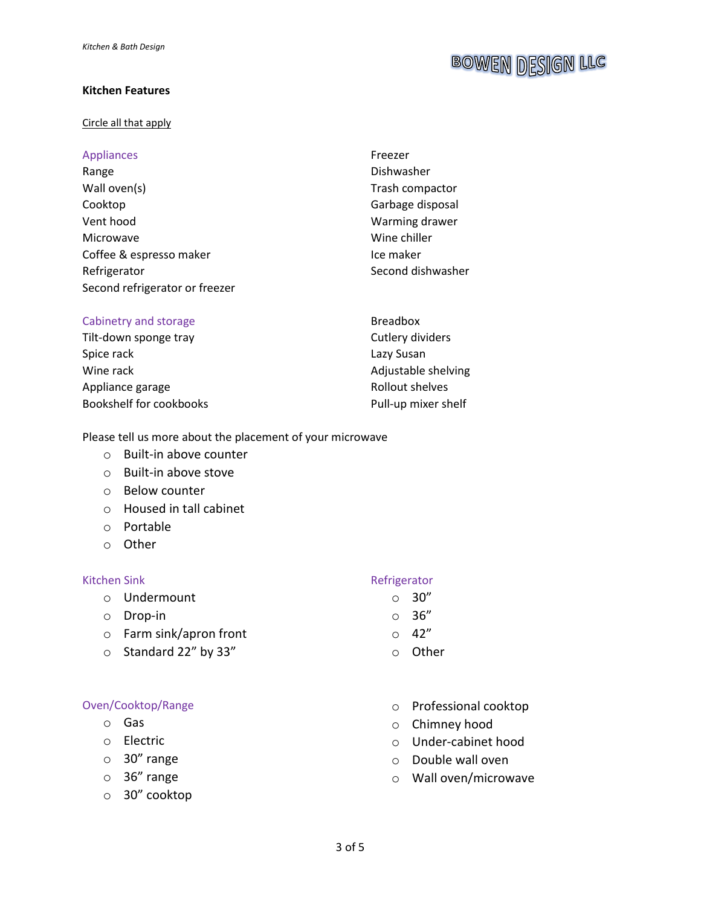#### **Kitchen Features**

#### Circle all that apply

#### Appliances Range Wall oven(s) Cooktop Vent hood Microwave Coffee & espresso maker Refrigerator Freezer Dishwasher Trash compactor Garbage disposal Warming drawer Wine chiller Ice maker Second refrigerator or freezer

#### Cabinetry and storage

Tilt-down sponge tray Spice rack Wine rack Appliance garage Bookshelf for cookbooks Second dishwasher

Breadbox Cutlery dividers Lazy Susan Adjustable shelving Rollout shelves Pull-up mixer shelf

Please tell us more about the placement of your microwave

- o Built-in above counter
- o Built-in above stove
- o Below counter
- o Housed in tall cabinet
- o Portable
- o Other

#### Kitchen Sink

- o Undermount
- o Drop-in
- o Farm sink/apron front
- o Standard 22" by 33"

#### Oven/Cooktop/Range

- o Gas
- o Electric
- o 30" range
- o 36" range
- o 30" cooktop

#### Refrigerator

- $\circ$  30"
- $\circ$  36"
- $\circ$  42"
- o Other
- o Professional cooktop
- o Chimney hood
- o Under-cabinet hood
- o Double wall oven
- o Wall oven/microwave

# **BOWEN DESIGN LLC**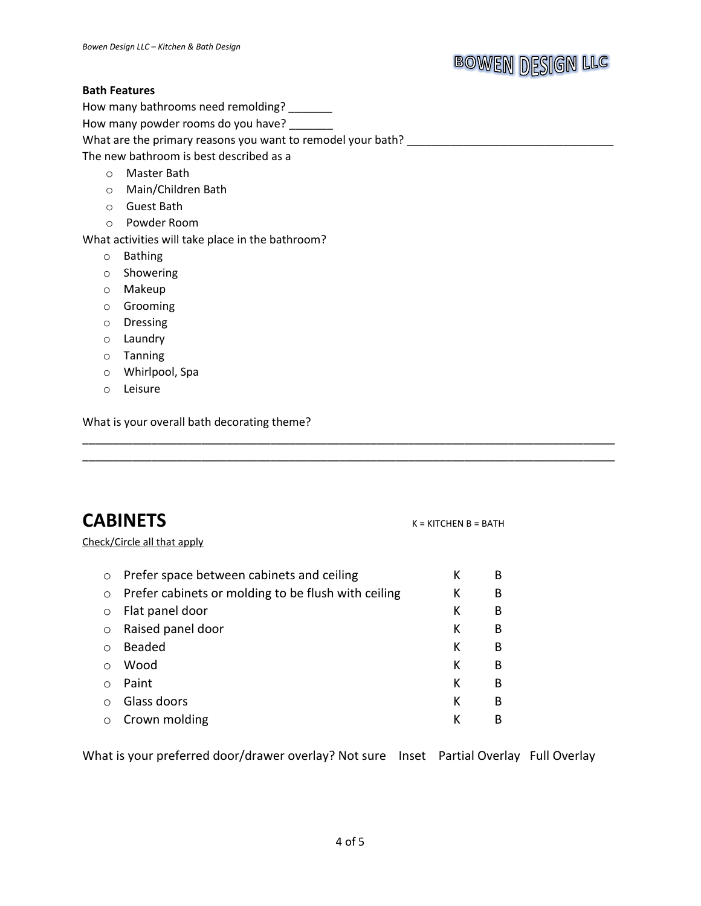## **BOWEN DESIGN LLC**

#### **Bath Features**

How many bathrooms need remolding? \_\_\_\_\_\_

How many powder rooms do you have? \_\_\_\_\_\_\_

What are the primary reasons you want to remodel your bath? \_\_\_\_\_\_\_\_\_\_\_\_\_\_\_\_\_\_\_\_\_\_\_\_\_\_\_\_\_\_\_\_\_

The new bathroom is best described as a

- o Master Bath
- o Main/Children Bath
- o Guest Bath
- o Powder Room

What activities will take place in the bathroom?

- o Bathing
- o Showering
- o Makeup
- o Grooming
- o Dressing
- o Laundry
- o Tanning
- o Whirlpool, Spa
- o Leisure

What is your overall bath decorating theme?

### **CABINETS** K = KITCHEN B = BATH

Check/Circle all that apply

| $\circ$    | Prefer space between cabinets and ceiling           | К | В |
|------------|-----------------------------------------------------|---|---|
| $\circ$    | Prefer cabinets or molding to be flush with ceiling | К | В |
| $\circ$    | Flat panel door                                     | К | B |
| $\circ$    | Raised panel door                                   | К | B |
| $\bigcirc$ | Beaded                                              | К | B |
| $\bigcirc$ | Wood                                                | К | B |
|            | Paint                                               | К | B |
| $\bigcirc$ | Glass doors                                         | К | B |
|            | Crown molding                                       | к | в |
|            |                                                     |   |   |

What is your preferred door/drawer overlay? Not sure Inset Partial Overlay Full Overlay

\_\_\_\_\_\_\_\_\_\_\_\_\_\_\_\_\_\_\_\_\_\_\_\_\_\_\_\_\_\_\_\_\_\_\_\_\_\_\_\_\_\_\_\_\_\_\_\_\_\_\_\_\_\_\_\_\_\_\_\_\_\_\_\_\_\_\_\_\_\_\_\_\_\_\_\_\_\_\_\_\_\_\_\_\_ \_\_\_\_\_\_\_\_\_\_\_\_\_\_\_\_\_\_\_\_\_\_\_\_\_\_\_\_\_\_\_\_\_\_\_\_\_\_\_\_\_\_\_\_\_\_\_\_\_\_\_\_\_\_\_\_\_\_\_\_\_\_\_\_\_\_\_\_\_\_\_\_\_\_\_\_\_\_\_\_\_\_\_\_\_